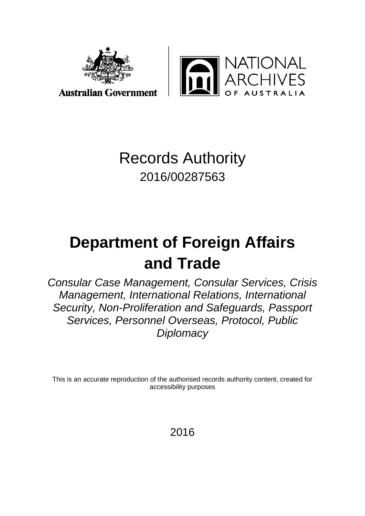

JTIONAL<br>CHIVES

## Records Authority 2016/00287563

# **Department of Foreign Affairs and Trade**

*Consular Case Management, Consular Services, Crisis Management, International Relations, International Security, Non-Proliferation and Safeguards, Passport Services, Personnel Overseas, Protocol, Public Diplomacy*

This is an accurate reproduction of the authorised records authority content, created for accessibility purposes

2016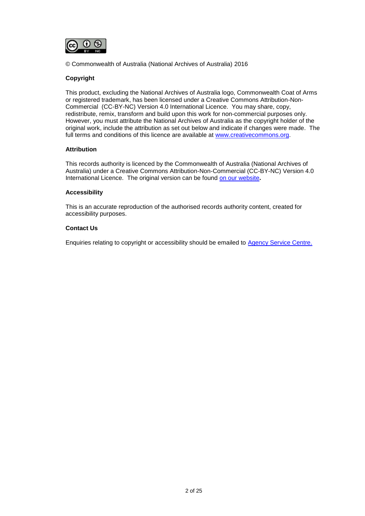

© Commonwealth of Australia (National Archives of Australia) 2016

#### **Copyright**

This product, excluding the National Archives of Australia logo, Commonwealth Coat of Arms or registered trademark, has been licensed under a Creative Commons Attribution-Non-Commercial (CC-BY-NC) Version 4.0 International Licence. You may share, copy, redistribute, remix, transform and build upon this work for non-commercial purposes only. However, you must attribute the National Archives of Australia as the copyright holder of the original work, include the attribution as set out below and indicate if changes were made. The full terms and conditions of this licence are available at [www.creativecommons.org.](http://www.creativecommons.org/)

#### **Attribution**

This records authority is licenced by the Commonwealth of Australia (National Archives of Australia) under a Creative Commons Attribution-Non-Commercial (CC-BY-NC) Version 4.0 International Licence. The original version can be found [on our website](http://www.naa.gov.au/)**.**

#### **Accessibility**

This is an accurate reproduction of the authorised records authority content, created for accessibility purposes.

#### **Contact Us**

Enquiries relating to copyright or accessibility should be emailed to [Agency Service Centre.](http://reftracker.naa.gov.au/reft000.aspx?pmi=jpGkKEm4vT)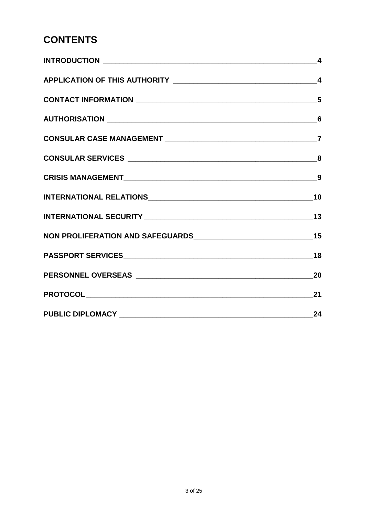#### **CONTENTS**

| $\boldsymbol{4}$ |
|------------------|
|                  |
| 5                |
| $6\phantom{1}6$  |
| $\overline{7}$   |
|                  |
|                  |
|                  |
|                  |
|                  |
|                  |
| 20               |
|                  |
|                  |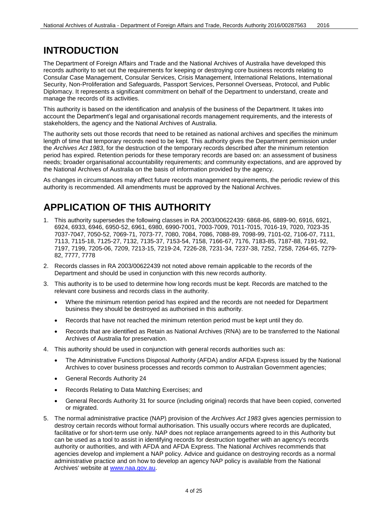#### <span id="page-3-0"></span>**INTRODUCTION**

The Department of Foreign Affairs and Trade and the National Archives of Australia have developed this records authority to set out the requirements for keeping or destroying core business records relating to Consular Case Management, Consular Services, Crisis Management, International Relations, International Security, Non-Proliferation and Safeguards, Passport Services, Personnel Overseas, Protocol, and Public Diplomacy. It represents a significant commitment on behalf of the Department to understand, create and manage the records of its activities.

This authority is based on the identification and analysis of the business of the Department. It takes into account the Department's legal and organisational records management requirements, and the interests of stakeholders, the agency and the National Archives of Australia.

The authority sets out those records that need to be retained as national archives and specifies the minimum length of time that temporary records need to be kept. This authority gives the Department permission under the *Archives Act 1983*, for the destruction of the temporary records described after the minimum retention period has expired. Retention periods for these temporary records are based on: an assessment of business needs; broader organisational accountability requirements; and community expectations, and are approved by the National Archives of Australia on the basis of information provided by the agency.

As changes in circumstances may affect future records management requirements, the periodic review of this authority is recommended. All amendments must be approved by the National Archives.

#### <span id="page-3-1"></span>**APPLICATION OF THIS AUTHORITY**

- 1. This authority supersedes the following classes in RA 2003/00622439: 6868-86, 6889-90, 6916, 6921, 6924, 6933, 6946, 6950-52, 6961, 6980, 6990-7001, 7003-7009, 7011-7015, 7016-19, 7020, 7023-35 7037-7047, 7050-52, 7069-71, 7073-77, 7080, 7084, 7086, 7088-89, 7098-99, 7101-02, 7106-07, 7111, 7113, 7115-18, 7125-27, 7132, 7135-37, 7153-54, 7158, 7166-67, 7176, 7183-85, 7187-88, 7191-92, 7197, 7199, 7205-06, 7209, 7213-15, 7219-24, 7226-28, 7231-34, 7237-38, 7252, 7258, 7264-65, 7279- 82, 7777, 7778
- 2. Records classes in RA 2003/00622439 not noted above remain applicable to the records of the Department and should be used in conjunction with this new records authority.
- 3. This authority is to be used to determine how long records must be kept. Records are matched to the relevant core business and records class in the authority.
	- Where the minimum retention period has expired and the records are not needed for Department business they should be destroyed as authorised in this authority.
	- Records that have not reached the minimum retention period must be kept until they do.
	- Records that are identified as Retain as National Archives (RNA) are to be transferred to the National Archives of Australia for preservation.
- 4. This authority should be used in conjunction with general records authorities such as:
	- The Administrative Functions Disposal Authority (AFDA) and/or AFDA Express issued by the National Archives to cover business processes and records common to Australian Government agencies;
	- General Records Authority 24
	- Records Relating to Data Matching Exercises; and
	- General Records Authority 31 for source (including original) records that have been copied, converted or migrated.
- 5. The normal administrative practice (NAP) provision of the *Archives Act 1983* gives agencies permission to destroy certain records without formal authorisation. This usually occurs where records are duplicated, facilitative or for short-term use only. NAP does not replace arrangements agreed to in this Authority but can be used as a tool to assist in identifying records for destruction together with an agency's records authority or authorities, and with AFDA and AFDA Express. The National Archives recommends that agencies develop and implement a NAP policy. Advice and guidance on destroying records as a normal administrative practice and on how to develop an agency NAP policy is available from the National Archives' website at [www.naa.gov.au.](http://www.naa.gov.au/)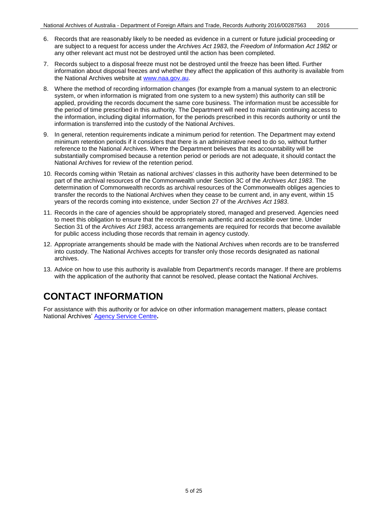- 6. Records that are reasonably likely to be needed as evidence in a current or future judicial proceeding or are subject to a request for access under the *Archives Act 1983*, the *Freedom of Information Act 1982* or any other relevant act must not be destroyed until the action has been completed.
- 7. Records subject to a disposal freeze must not be destroyed until the freeze has been lifted. Further information about disposal freezes and whether they affect the application of this authority is available from the National Archives website at [www.naa.gov.au.](http://www.naa.gov.au/)
- 8. Where the method of recording information changes (for example from a manual system to an electronic system, or when information is migrated from one system to a new system) this authority can still be applied, providing the records document the same core business. The information must be accessible for the period of time prescribed in this authority. The Department will need to maintain continuing access to the information, including digital information, for the periods prescribed in this records authority or until the information is transferred into the custody of the National Archives.
- 9. In general, retention requirements indicate a minimum period for retention. The Department may extend minimum retention periods if it considers that there is an administrative need to do so, without further reference to the National Archives. Where the Department believes that its accountability will be substantially compromised because a retention period or periods are not adequate, it should contact the National Archives for review of the retention period.
- 10. Records coming within 'Retain as national archives' classes in this authority have been determined to be part of the archival resources of the Commonwealth under Section 3C of the *Archives Act 1983*. The determination of Commonwealth records as archival resources of the Commonwealth obliges agencies to transfer the records to the National Archives when they cease to be current and, in any event, within 15 years of the records coming into existence, under Section 27 of the *Archives Act 1983*.
- 11. Records in the care of agencies should be appropriately stored, managed and preserved. Agencies need to meet this obligation to ensure that the records remain authentic and accessible over time. Under Section 31 of the *Archives Act 1983*, access arrangements are required for records that become available for public access including those records that remain in agency custody.
- 12. Appropriate arrangements should be made with the National Archives when records are to be transferred into custody. The National Archives accepts for transfer only those records designated as national archives.
- 13. Advice on how to use this authority is available from Department's records manager. If there are problems with the application of the authority that cannot be resolved, please contact the National Archives.

#### <span id="page-4-0"></span>**CONTACT INFORMATION**

For assistance with this authority or for advice on other information management matters, please contact National Archives' [Agency Service Centre](http://reftracker.naa.gov.au/reft000.aspx?pmi=jpGkKEm4vT)**.**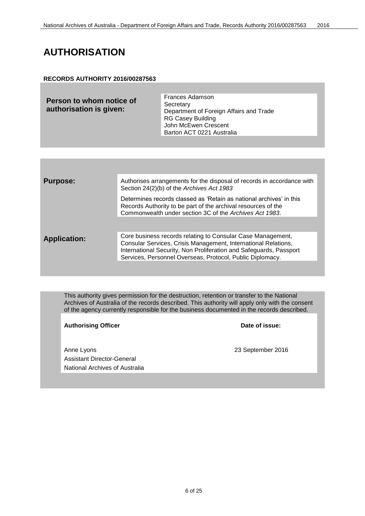#### <span id="page-5-0"></span>**AUTHORISATION**

#### **RECORDS AUTHORITY 2016/00287563**

| Person to whom notice of<br>authorisation is given: | <b>Frances Adamson</b><br>Secretary<br>Department of Foreign Affairs and Trade<br><b>RG Casey Building</b><br>John McEwen Crescent<br>Barton ACT 0221 Australia |
|-----------------------------------------------------|-----------------------------------------------------------------------------------------------------------------------------------------------------------------|
|                                                     |                                                                                                                                                                 |

| <b>Purpose:</b>     | Authorises arrangements for the disposal of records in accordance with<br>Section 24(2)(b) of the Archives Act 1983                                                                                                                                              |
|---------------------|------------------------------------------------------------------------------------------------------------------------------------------------------------------------------------------------------------------------------------------------------------------|
|                     | Determines records classed as 'Retain as national archives' in this<br>Records Authority to be part of the archival resources of the<br>Commonwealth under section 3C of the Archives Act 1983.                                                                  |
|                     |                                                                                                                                                                                                                                                                  |
| <b>Application:</b> | Core business records relating to Consular Case Management,<br>Consular Services, Crisis Management, International Relations,<br>International Security, Non Proliferation and Safeguards, Passport<br>Services, Personnel Overseas, Protocol, Public Diplomacy. |
|                     |                                                                                                                                                                                                                                                                  |

This authority gives permission for the destruction, retention or transfer to the National Archives of Australia of the records described. This authority will apply only with the consent of the agency currently responsible for the business documented in the records described.

Authorising Officer **Contract Contract Contract Contract Contract Contract Contract Contract Contract Contract Contract Contract Contract Contract Contract Contract Contract Contract Contract Contract Contract Contract Con** 

Anne Lyons 23 September 2016 Assistant Director-General National Archives of Australia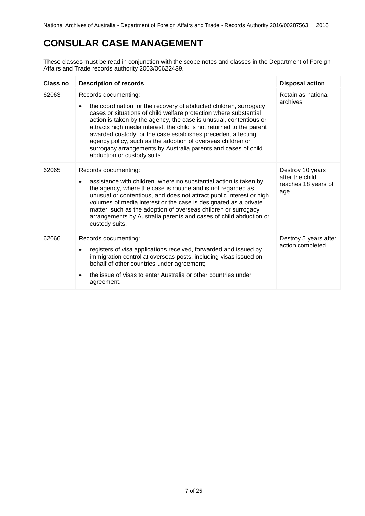#### <span id="page-6-0"></span>**CONSULAR CASE MANAGEMENT**

| Class no | <b>Description of records</b>                                                                                                                                                                                                                                                                                                                                                                                                                                                                                                                | <b>Disposal action</b>                                            |
|----------|----------------------------------------------------------------------------------------------------------------------------------------------------------------------------------------------------------------------------------------------------------------------------------------------------------------------------------------------------------------------------------------------------------------------------------------------------------------------------------------------------------------------------------------------|-------------------------------------------------------------------|
| 62063    | Records documenting:<br>the coordination for the recovery of abducted children, surrogacy<br>cases or situations of child welfare protection where substantial<br>action is taken by the agency, the case is unusual, contentious or<br>attracts high media interest, the child is not returned to the parent<br>awarded custody, or the case establishes precedent affecting<br>agency policy, such as the adoption of overseas children or<br>surrogacy arrangements by Australia parents and cases of child<br>abduction or custody suits | Retain as national<br>archives                                    |
| 62065    | Records documenting:<br>assistance with children, where no substantial action is taken by<br>the agency, where the case is routine and is not regarded as<br>unusual or contentious, and does not attract public interest or high<br>volumes of media interest or the case is designated as a private<br>matter, such as the adoption of overseas children or surrogacy<br>arrangements by Australia parents and cases of child abduction or<br>custody suits.                                                                               | Destroy 10 years<br>after the child<br>reaches 18 years of<br>age |
| 62066    | Records documenting:<br>registers of visa applications received, forwarded and issued by<br>immigration control at overseas posts, including visas issued on<br>behalf of other countries under agreement;<br>the issue of visas to enter Australia or other countries under<br>agreement.                                                                                                                                                                                                                                                   | Destroy 5 years after<br>action completed                         |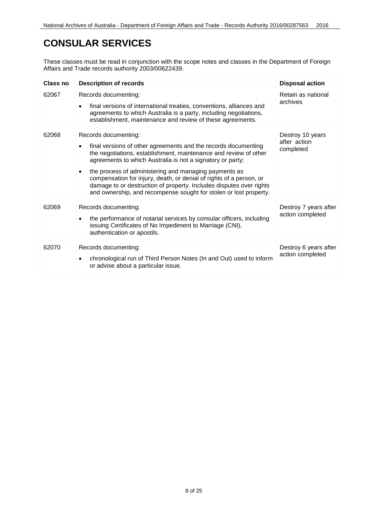#### <span id="page-7-0"></span>**CONSULAR SERVICES**

| Class no | <b>Description of records</b>                                                                                                                                                                                                                                                                                                                                                                                                                                                                                     | <b>Disposal action</b>                        |
|----------|-------------------------------------------------------------------------------------------------------------------------------------------------------------------------------------------------------------------------------------------------------------------------------------------------------------------------------------------------------------------------------------------------------------------------------------------------------------------------------------------------------------------|-----------------------------------------------|
| 62067    | Records documenting:<br>final versions of international treaties, conventions, alliances and<br>agreements to which Australia is a party, including negotiations,<br>establishment, maintenance and review of these agreements.                                                                                                                                                                                                                                                                                   | Retain as national<br>archives                |
| 62068    | Records documenting:<br>final versions of other agreements and the records documenting<br>$\bullet$<br>the negotiations, establishment, maintenance and review of other<br>agreements to which Australia is not a signatory or party;<br>the process of administering and managing payments as<br>compensation for injury, death, or denial of rights of a person, or<br>damage to or destruction of property. Includes disputes over rights<br>and ownership, and recompense sought for stolen or lost property. | Destroy 10 years<br>after action<br>completed |
| 62069    | Records documenting:<br>the performance of notarial services by consular officers, including<br>$\bullet$<br>issuing Certificates of No Impediment to Marriage (CNI),<br>authentication or apostils.                                                                                                                                                                                                                                                                                                              | Destroy 7 years after<br>action completed     |
| 62070    | Records documenting:<br>chronological run of Third Person Notes (In and Out) used to inform<br>or advise about a particular issue.                                                                                                                                                                                                                                                                                                                                                                                | Destroy 6 years after<br>action completed     |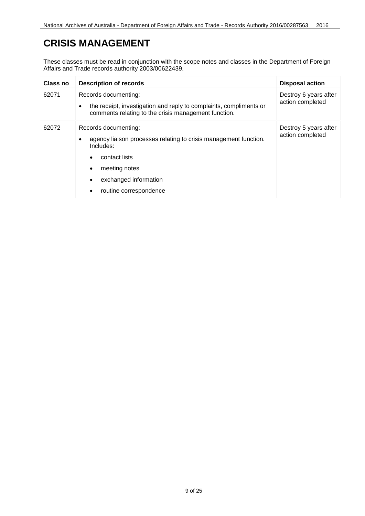#### <span id="page-8-0"></span>**CRISIS MANAGEMENT**

| Class no | <b>Description of records</b>                                                                                                                                   | <b>Disposal action</b>                    |
|----------|-----------------------------------------------------------------------------------------------------------------------------------------------------------------|-------------------------------------------|
| 62071    | Records documenting:<br>the receipt, investigation and reply to complaints, compliments or<br>$\bullet$<br>comments relating to the crisis management function. | Destroy 6 years after<br>action completed |
| 62072    | Records documenting:<br>agency liaison processes relating to crisis management function.<br>Includes:<br>contact lists<br>$\bullet$                             | Destroy 5 years after<br>action completed |
|          | meeting notes<br>$\bullet$<br>exchanged information<br>$\bullet$<br>routine correspondence<br>$\bullet$                                                         |                                           |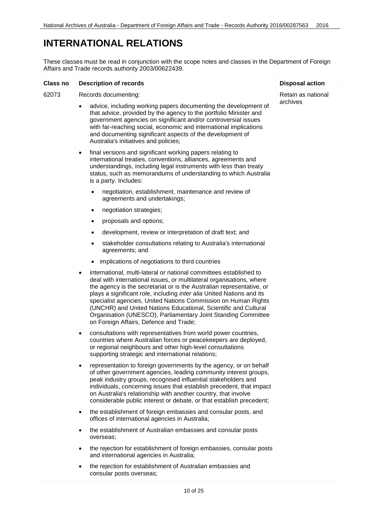#### <span id="page-9-0"></span>**INTERNATIONAL RELATIONS**

| Class no | <b>Description of records</b>                                                                                                                                                                                                                                                                                                                                                                                                                                                                                                                             | <b>Disposal action</b> |
|----------|-----------------------------------------------------------------------------------------------------------------------------------------------------------------------------------------------------------------------------------------------------------------------------------------------------------------------------------------------------------------------------------------------------------------------------------------------------------------------------------------------------------------------------------------------------------|------------------------|
| 62073    | Records documenting:                                                                                                                                                                                                                                                                                                                                                                                                                                                                                                                                      | Retain as national     |
|          | advice, including working papers documenting the development of<br>that advice, provided by the agency to the portfolio Minister and<br>government agencies on significant and/or controversial issues<br>with far-reaching social, economic and international implications<br>and documenting significant aspects of the development of<br>Australia's initiatives and policies;                                                                                                                                                                         | archives               |
|          | final versions and significant working papers relating to<br>$\bullet$<br>international treaties, conventions, alliances, agreements and<br>understandings, including legal instruments with less than treaty<br>status, such as memorandums of understanding to which Australia<br>is a party. Includes:                                                                                                                                                                                                                                                 |                        |
|          | negotiation, establishment, maintenance and review of<br>agreements and undertakings;                                                                                                                                                                                                                                                                                                                                                                                                                                                                     |                        |
|          | negotiation strategies;<br>٠                                                                                                                                                                                                                                                                                                                                                                                                                                                                                                                              |                        |
|          | proposals and options;<br>٠                                                                                                                                                                                                                                                                                                                                                                                                                                                                                                                               |                        |
|          | development, review or interpretation of draft text; and<br>٠                                                                                                                                                                                                                                                                                                                                                                                                                                                                                             |                        |
|          | stakeholder consultations relating to Australia's international<br>٠<br>agreements; and                                                                                                                                                                                                                                                                                                                                                                                                                                                                   |                        |
|          | implications of negotiations to third countries                                                                                                                                                                                                                                                                                                                                                                                                                                                                                                           |                        |
|          | international, multi-lateral or national committees established to<br>$\bullet$<br>deal with international issues, or multilateral organisations, where<br>the agency is the secretariat or is the Australian representative, or<br>plays a significant role, including inter alia United Nations and its<br>specialist agencies, United Nations Commission on Human Rights<br>(UNCHR) and United Nations Educational, Scientific and Cultural<br>Organisation (UNESCO), Parliamentary Joint Standing Committee<br>on Foreign Affairs, Defence and Trade; |                        |
|          | consultations with representatives from world power countries,<br>٠<br>countries where Australian forces or peacekeepers are deployed,<br>or regional neighbours and other high-level consultations<br>supporting strategic and international relations;                                                                                                                                                                                                                                                                                                  |                        |
|          | representation to foreign governments by the agency, or on behalf<br>of other government agencies, leading community interest groups,<br>peak industry groups, recognised influential stakeholders and<br>individuals, concerning issues that establish precedent, that impact<br>on Australia's relationship with another country, that involve<br>considerable public interest or debate, or that establish precedent;                                                                                                                                  |                        |
|          | the establishment of foreign embassies and consular posts, and<br>$\bullet$<br>offices of international agencies in Australia;                                                                                                                                                                                                                                                                                                                                                                                                                            |                        |
|          | the establishment of Australian embassies and consular posts<br>overseas;                                                                                                                                                                                                                                                                                                                                                                                                                                                                                 |                        |
|          | the rejection for establishment of foreign embassies, consular posts<br>and international agencies in Australia;                                                                                                                                                                                                                                                                                                                                                                                                                                          |                        |
|          | the rejection for establishment of Australian embassies and<br>consular posts overseas;                                                                                                                                                                                                                                                                                                                                                                                                                                                                   |                        |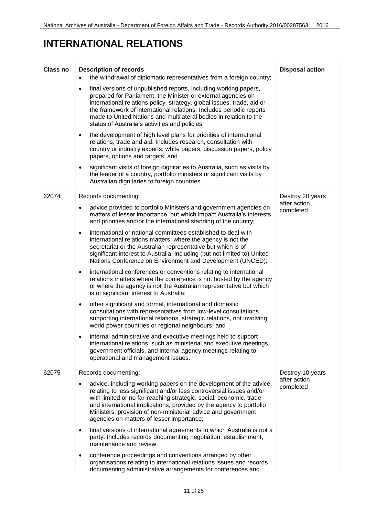#### **INTERNATIONAL RELATIONS**

| Class no | <b>Description of records</b>                                                                                                                                                                                                                                                                                                                                                                                          | <b>Disposal action</b>    |
|----------|------------------------------------------------------------------------------------------------------------------------------------------------------------------------------------------------------------------------------------------------------------------------------------------------------------------------------------------------------------------------------------------------------------------------|---------------------------|
|          | the withdrawal of diplomatic representatives from a foreign country;                                                                                                                                                                                                                                                                                                                                                   |                           |
|          | final versions of unpublished reports, including working papers,<br>$\bullet$<br>prepared for Parliament, the Minister or external agencies on<br>international relations policy, strategy, global issues, trade, aid or<br>the framework of international relations. Includes periodic reports<br>made to United Nations and multilateral bodies in relation to the<br>status of Australia's activities and policies; |                           |
|          | the development of high level plans for priorities of international<br>$\bullet$<br>relations, trade and aid. Includes research, consultation with<br>country or industry experts, white papers, discussion papers, policy<br>papers, options and targets; and                                                                                                                                                         |                           |
|          | significant visits of foreign dignitaries to Australia, such as visits by<br>the leader of a country, portfolio ministers or significant visits by<br>Australian dignitaries to foreign countries.                                                                                                                                                                                                                     |                           |
| 62074    | Records documenting:                                                                                                                                                                                                                                                                                                                                                                                                   | Destroy 20 years          |
|          | advice provided to portfolio Ministers and government agencies on<br>matters of lesser importance, but which impact Australia's interests<br>and priorities and/or the international standing of the country;                                                                                                                                                                                                          | after action<br>completed |
|          | international or national committees established to deal with<br>$\bullet$<br>international relations matters, where the agency is not the<br>secretariat or the Australian representative but which is of<br>significant interest to Australia, including (but not limited to) United<br>Nations Conference on Environment and Development (UNCED);                                                                   |                           |
|          | international conferences or conventions relating to international<br>$\bullet$<br>relations matters where the conference is not hosted by the agency<br>or where the agency is not the Australian representative but which<br>is of significant interest to Australia;                                                                                                                                                |                           |
|          | other significant and formal, international and domestic<br>$\bullet$<br>consultations with representatives from low-level consultations<br>supporting international relations, strategic relations, not involving<br>world power countries or regional neighbours; and                                                                                                                                                |                           |
|          | internal administrative and executive meetings held to support<br>international relations, such as ministerial and executive meetings,<br>government officials, and internal agency meetings relating to<br>operational and management issues.                                                                                                                                                                         |                           |
| 62075    | Records documenting:                                                                                                                                                                                                                                                                                                                                                                                                   | Destroy 10 years          |
|          | advice, including working papers on the development of the advice,<br>relating to less significant and/or less controversial issues and/or<br>with limited or no far-reaching strategic, social, economic, trade<br>and international implications, provided by the agency to portfolio<br>Ministers, provision of non-ministerial advice and government<br>agencies on matters of lesser importance;                  | after action<br>completed |
|          | final versions of international agreements to which Australia is not a<br>$\bullet$<br>party. Includes records documenting negotiation, establishment,<br>maintenance and review;                                                                                                                                                                                                                                      |                           |
|          | conference proceedings and conventions arranged by other<br>$\bullet$<br>organisations relating to international relations issues and records<br>documenting administrative arrangements for conferences and                                                                                                                                                                                                           |                           |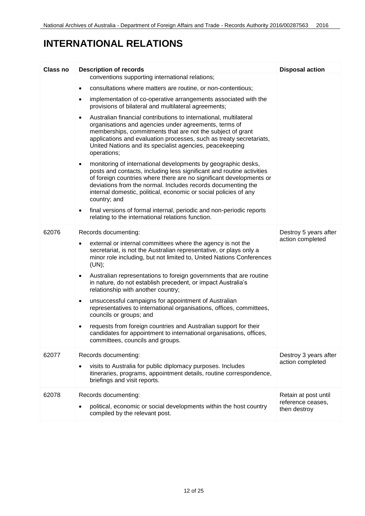#### **INTERNATIONAL RELATIONS**

| <b>Class no</b> | <b>Description of records</b>                                                                                                                                                                                                                                                                                                                                                  | <b>Disposal action</b>            |
|-----------------|--------------------------------------------------------------------------------------------------------------------------------------------------------------------------------------------------------------------------------------------------------------------------------------------------------------------------------------------------------------------------------|-----------------------------------|
|                 | conventions supporting international relations;                                                                                                                                                                                                                                                                                                                                |                                   |
|                 | consultations where matters are routine, or non-contentious;<br>$\bullet$                                                                                                                                                                                                                                                                                                      |                                   |
|                 | implementation of co-operative arrangements associated with the<br>$\bullet$<br>provisions of bilateral and multilateral agreements;                                                                                                                                                                                                                                           |                                   |
|                 | Australian financial contributions to international, multilateral<br>$\bullet$<br>organisations and agencies under agreements, terms of<br>memberships, commitments that are not the subject of grant<br>applications and evaluation processes, such as treaty secretariats,<br>United Nations and its specialist agencies, peacekeeping<br>operations;                        |                                   |
|                 | monitoring of international developments by geographic desks,<br>$\bullet$<br>posts and contacts, including less significant and routine activities<br>of foreign countries where there are no significant developments or<br>deviations from the normal. Includes records documenting the<br>internal domestic, political, economic or social policies of any<br>country; and |                                   |
|                 | final versions of formal internal, periodic and non-periodic reports<br>$\bullet$<br>relating to the international relations function.                                                                                                                                                                                                                                         |                                   |
| 62076           | Records documenting:                                                                                                                                                                                                                                                                                                                                                           | Destroy 5 years after             |
|                 | external or internal committees where the agency is not the<br>$\bullet$<br>secretariat, is not the Australian representative, or plays only a<br>minor role including, but not limited to, United Nations Conferences<br>(UN);                                                                                                                                                | action completed                  |
|                 | Australian representations to foreign governments that are routine<br>$\bullet$<br>in nature, do not establish precedent, or impact Australia's<br>relationship with another country;                                                                                                                                                                                          |                                   |
|                 | unsuccessful campaigns for appointment of Australian<br>$\bullet$<br>representatives to international organisations, offices, committees,<br>councils or groups; and                                                                                                                                                                                                           |                                   |
|                 | requests from foreign countries and Australian support for their<br>$\bullet$<br>candidates for appointment to international organisations, offices,<br>committees, councils and groups.                                                                                                                                                                                       |                                   |
| 62077           | Records documenting:                                                                                                                                                                                                                                                                                                                                                           | Destroy 3 years after             |
|                 | visits to Australia for public diplomacy purposes. Includes<br>itineraries, programs, appointment details, routine correspondence,<br>briefings and visit reports.                                                                                                                                                                                                             | action completed                  |
| 62078           | Records documenting:                                                                                                                                                                                                                                                                                                                                                           | Retain at post until              |
|                 | political, economic or social developments within the host country<br>compiled by the relevant post.                                                                                                                                                                                                                                                                           | reference ceases,<br>then destroy |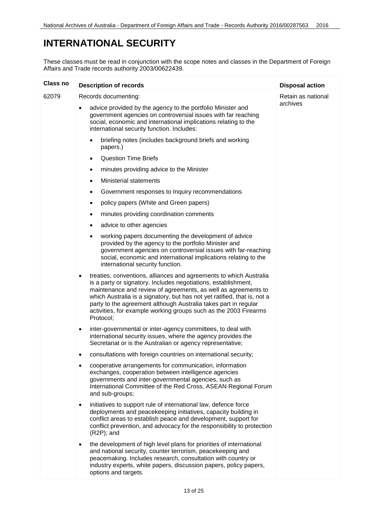#### <span id="page-12-0"></span>**INTERNATIONAL SECURITY**

| Class no | <b>Description of records</b>                                                                                                                                                                                                                                                                                                                                                                                                               | <b>Disposal action</b>         |
|----------|---------------------------------------------------------------------------------------------------------------------------------------------------------------------------------------------------------------------------------------------------------------------------------------------------------------------------------------------------------------------------------------------------------------------------------------------|--------------------------------|
| 62079    | Records documenting:                                                                                                                                                                                                                                                                                                                                                                                                                        | Retain as national<br>archives |
|          | advice provided by the agency to the portfolio Minister and<br>$\bullet$<br>government agencies on controversial issues with far reaching<br>social, economic and international implications relating to the<br>international security function. Includes:                                                                                                                                                                                  |                                |
|          | briefing notes (includes background briefs and working<br>$\bullet$<br>papers.)                                                                                                                                                                                                                                                                                                                                                             |                                |
|          | <b>Question Time Briefs</b><br>$\bullet$                                                                                                                                                                                                                                                                                                                                                                                                    |                                |
|          | minutes providing advice to the Minister<br>$\bullet$                                                                                                                                                                                                                                                                                                                                                                                       |                                |
|          | <b>Ministerial statements</b><br>$\bullet$                                                                                                                                                                                                                                                                                                                                                                                                  |                                |
|          | Government responses to Inquiry recommendations<br>$\bullet$                                                                                                                                                                                                                                                                                                                                                                                |                                |
|          | policy papers (White and Green papers)<br>٠                                                                                                                                                                                                                                                                                                                                                                                                 |                                |
|          | minutes providing coordination comments<br>٠                                                                                                                                                                                                                                                                                                                                                                                                |                                |
|          | advice to other agencies<br>٠                                                                                                                                                                                                                                                                                                                                                                                                               |                                |
|          | working papers documenting the development of advice<br>$\bullet$<br>provided by the agency to the portfolio Minister and<br>government agencies on controversial issues with far-reaching<br>social, economic and international implications relating to the<br>international security function.                                                                                                                                           |                                |
|          | treaties, conventions, alliances and agreements to which Australia<br>٠<br>is a party or signatory. Includes negotiations, establishment,<br>maintenance and review of agreements, as well as agreements to<br>which Australia is a signatory, but has not yet ratified, that is, not a<br>party to the agreement although Australia takes part in regular<br>activities, for example working groups such as the 2003 Firearms<br>Protocol; |                                |
|          | inter-governmental or inter-agency committees, to deal with<br>$\bullet$<br>international security issues, where the agency provides the<br>Secretariat or is the Australian or agency representative;                                                                                                                                                                                                                                      |                                |
|          | consultations with foreign countries on international security;<br>٠                                                                                                                                                                                                                                                                                                                                                                        |                                |
|          | cooperative arrangements for communication, information<br>٠<br>exchanges, cooperation between intelligence agencies<br>governments and inter-governmental agencies, such as<br>International Committee of the Red Cross, ASEAN Regional Forum<br>and sub-groups;                                                                                                                                                                           |                                |
|          | initiatives to support rule of international law, defence force<br>$\bullet$<br>deployments and peacekeeping initiatives, capacity building in<br>conflict areas to establish peace and development, support for<br>conflict prevention, and advocacy for the responsibility to protection<br>$(R2P)$ ; and                                                                                                                                 |                                |
|          | the development of high level plans for priorities of international<br>٠<br>and national security, counter terrorism, peacekeeping and<br>peacemaking. Includes research, consultation with country or<br>industry experts, white papers, discussion papers, policy papers,<br>options and targets.                                                                                                                                         |                                |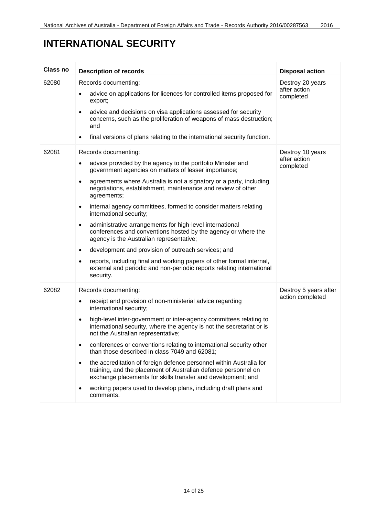### **INTERNATIONAL SECURITY**

| <b>Class no</b> | <b>Description of records</b>                                                                                                                                                                              | <b>Disposal action</b>                        |
|-----------------|------------------------------------------------------------------------------------------------------------------------------------------------------------------------------------------------------------|-----------------------------------------------|
| 62080           | Records documenting:                                                                                                                                                                                       | Destroy 20 years<br>after action<br>completed |
|                 | advice on applications for licences for controlled items proposed for<br>export;                                                                                                                           |                                               |
|                 | advice and decisions on visa applications assessed for security<br>$\bullet$<br>concerns, such as the proliferation of weapons of mass destruction;<br>and                                                 |                                               |
|                 | final versions of plans relating to the international security function.<br>$\bullet$                                                                                                                      |                                               |
| 62081           | Records documenting:                                                                                                                                                                                       | Destroy 10 years                              |
|                 | advice provided by the agency to the portfolio Minister and<br>٠<br>government agencies on matters of lesser importance;                                                                                   | after action<br>completed                     |
|                 | agreements where Australia is not a signatory or a party, including<br>$\bullet$<br>negotiations, establishment, maintenance and review of other<br>agreements;                                            |                                               |
|                 | internal agency committees, formed to consider matters relating<br>$\bullet$<br>international security;                                                                                                    |                                               |
|                 | administrative arrangements for high-level international<br>$\bullet$<br>conferences and conventions hosted by the agency or where the<br>agency is the Australian representative;                         |                                               |
|                 | development and provision of outreach services; and<br>$\bullet$                                                                                                                                           |                                               |
|                 | reports, including final and working papers of other formal internal,<br>$\bullet$<br>external and periodic and non-periodic reports relating international<br>security.                                   |                                               |
| 62082           | Records documenting:                                                                                                                                                                                       | Destroy 5 years after                         |
|                 | receipt and provision of non-ministerial advice regarding<br>$\bullet$<br>international security;                                                                                                          | action completed                              |
|                 | high-level inter-government or inter-agency committees relating to<br>$\bullet$<br>international security, where the agency is not the secretariat or is<br>not the Australian representative;             |                                               |
|                 | conferences or conventions relating to international security other<br>than those described in class 7049 and 62081;                                                                                       |                                               |
|                 | the accreditation of foreign defence personnel within Australia for<br>٠<br>training, and the placement of Australian defence personnel on<br>exchange placements for skills transfer and development; and |                                               |
|                 | working papers used to develop plans, including draft plans and<br>comments.                                                                                                                               |                                               |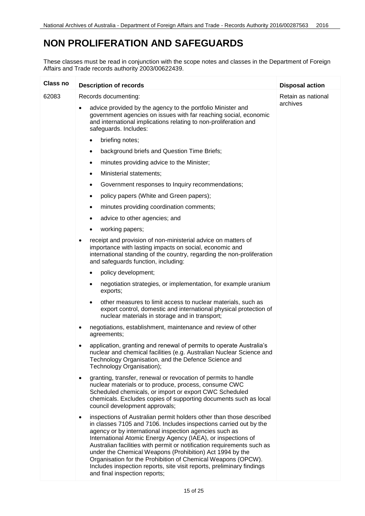#### <span id="page-14-0"></span>**NON PROLIFERATION AND SAFEGUARDS**

| <b>Class no</b> | <b>Description of records</b>                                                                                                                                                                                                                                                                                                                                                                                                                                                                                                                                                                   | <b>Disposal action</b> |
|-----------------|-------------------------------------------------------------------------------------------------------------------------------------------------------------------------------------------------------------------------------------------------------------------------------------------------------------------------------------------------------------------------------------------------------------------------------------------------------------------------------------------------------------------------------------------------------------------------------------------------|------------------------|
| 62083           | Records documenting:                                                                                                                                                                                                                                                                                                                                                                                                                                                                                                                                                                            | Retain as national     |
|                 | advice provided by the agency to the portfolio Minister and<br>$\bullet$<br>government agencies on issues with far reaching social, economic<br>and international implications relating to non-proliferation and<br>safeguards. Includes:                                                                                                                                                                                                                                                                                                                                                       | archives               |
|                 | briefing notes;<br>$\bullet$                                                                                                                                                                                                                                                                                                                                                                                                                                                                                                                                                                    |                        |
|                 | background briefs and Question Time Briefs;<br>٠                                                                                                                                                                                                                                                                                                                                                                                                                                                                                                                                                |                        |
|                 | minutes providing advice to the Minister;<br>$\bullet$                                                                                                                                                                                                                                                                                                                                                                                                                                                                                                                                          |                        |
|                 | Ministerial statements;<br>$\bullet$                                                                                                                                                                                                                                                                                                                                                                                                                                                                                                                                                            |                        |
|                 | Government responses to Inquiry recommendations;<br>$\bullet$                                                                                                                                                                                                                                                                                                                                                                                                                                                                                                                                   |                        |
|                 | policy papers (White and Green papers);<br>٠                                                                                                                                                                                                                                                                                                                                                                                                                                                                                                                                                    |                        |
|                 | minutes providing coordination comments;<br>$\bullet$                                                                                                                                                                                                                                                                                                                                                                                                                                                                                                                                           |                        |
|                 | advice to other agencies; and<br>$\bullet$                                                                                                                                                                                                                                                                                                                                                                                                                                                                                                                                                      |                        |
|                 | working papers;<br>$\bullet$                                                                                                                                                                                                                                                                                                                                                                                                                                                                                                                                                                    |                        |
|                 | receipt and provision of non-ministerial advice on matters of<br>$\bullet$<br>importance with lasting impacts on social, economic and<br>international standing of the country, regarding the non-proliferation<br>and safeguards function, including:                                                                                                                                                                                                                                                                                                                                          |                        |
|                 | policy development;<br>$\bullet$                                                                                                                                                                                                                                                                                                                                                                                                                                                                                                                                                                |                        |
|                 | negotiation strategies, or implementation, for example uranium<br>$\bullet$<br>exports;                                                                                                                                                                                                                                                                                                                                                                                                                                                                                                         |                        |
|                 | other measures to limit access to nuclear materials, such as<br>$\bullet$<br>export control, domestic and international physical protection of<br>nuclear materials in storage and in transport;                                                                                                                                                                                                                                                                                                                                                                                                |                        |
|                 | negotiations, establishment, maintenance and review of other<br>٠<br>agreements;                                                                                                                                                                                                                                                                                                                                                                                                                                                                                                                |                        |
|                 | application, granting and renewal of permits to operate Australia's<br>٠<br>nuclear and chemical facilities (e.g. Australian Nuclear Science and<br>Technology Organisation, and the Defence Science and<br>Technology Organisation);                                                                                                                                                                                                                                                                                                                                                           |                        |
|                 | granting, transfer, renewal or revocation of permits to handle<br>$\bullet$<br>nuclear materials or to produce, process, consume CWC<br>Scheduled chemicals, or import or export CWC Scheduled<br>chemicals. Excludes copies of supporting documents such as local<br>council development approvals;                                                                                                                                                                                                                                                                                            |                        |
|                 | inspections of Australian permit holders other than those described<br>$\bullet$<br>in classes 7105 and 7106. Includes inspections carried out by the<br>agency or by international inspection agencies such as<br>International Atomic Energy Agency (IAEA), or inspections of<br>Australian facilities with permit or notification requirements such as<br>under the Chemical Weapons (Prohibition) Act 1994 by the<br>Organisation for the Prohibition of Chemical Weapons (OPCW).<br>Includes inspection reports, site visit reports, preliminary findings<br>and final inspection reports; |                        |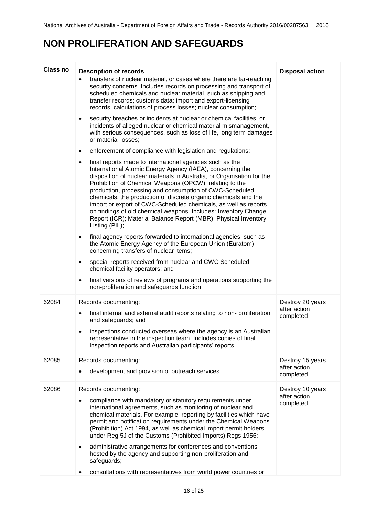#### **NON PROLIFERATION AND SAFEGUARDS**

| Class no | <b>Description of records</b>                                                                                                                                                                                                                                                                                                                                                                                                                                                                                                                                                                                                    | <b>Disposal action</b>    |
|----------|----------------------------------------------------------------------------------------------------------------------------------------------------------------------------------------------------------------------------------------------------------------------------------------------------------------------------------------------------------------------------------------------------------------------------------------------------------------------------------------------------------------------------------------------------------------------------------------------------------------------------------|---------------------------|
|          | transfers of nuclear material, or cases where there are far-reaching<br>security concerns. Includes records on processing and transport of<br>scheduled chemicals and nuclear material, such as shipping and<br>transfer records; customs data; import and export-licensing<br>records; calculations of process losses; nuclear consumption;                                                                                                                                                                                                                                                                                     |                           |
|          | security breaches or incidents at nuclear or chemical facilities, or<br>$\bullet$<br>incidents of alleged nuclear or chemical material mismanagement,<br>with serious consequences, such as loss of life, long term damages<br>or material losses;                                                                                                                                                                                                                                                                                                                                                                               |                           |
|          | enforcement of compliance with legislation and regulations;<br>$\bullet$                                                                                                                                                                                                                                                                                                                                                                                                                                                                                                                                                         |                           |
|          | final reports made to international agencies such as the<br>$\bullet$<br>International Atomic Energy Agency (IAEA), concerning the<br>disposition of nuclear materials in Australia, or Organisation for the<br>Prohibition of Chemical Weapons (OPCW), relating to the<br>production, processing and consumption of CWC-Scheduled<br>chemicals, the production of discrete organic chemicals and the<br>import or export of CWC-Scheduled chemicals, as well as reports<br>on findings of old chemical weapons. Includes: Inventory Change<br>Report (ICR); Material Balance Report (MBR); Physical Inventory<br>Listing (PIL); |                           |
|          | final agency reports forwarded to international agencies, such as<br>the Atomic Energy Agency of the European Union (Euratom)<br>concerning transfers of nuclear items;                                                                                                                                                                                                                                                                                                                                                                                                                                                          |                           |
|          | special reports received from nuclear and CWC Scheduled<br>$\bullet$<br>chemical facility operators; and                                                                                                                                                                                                                                                                                                                                                                                                                                                                                                                         |                           |
|          | final versions of reviews of programs and operations supporting the<br>non-proliferation and safeguards function.                                                                                                                                                                                                                                                                                                                                                                                                                                                                                                                |                           |
| 62084    | Records documenting:                                                                                                                                                                                                                                                                                                                                                                                                                                                                                                                                                                                                             | Destroy 20 years          |
|          | final internal and external audit reports relating to non-proliferation<br>$\bullet$<br>and safeguards; and                                                                                                                                                                                                                                                                                                                                                                                                                                                                                                                      | after action<br>completed |
|          | inspections conducted overseas where the agency is an Australian<br>representative in the inspection team. Includes copies of final<br>inspection reports and Australian participants' reports.                                                                                                                                                                                                                                                                                                                                                                                                                                  |                           |
| 62085    | Records documenting:                                                                                                                                                                                                                                                                                                                                                                                                                                                                                                                                                                                                             | Destroy 15 years          |
|          | development and provision of outreach services.                                                                                                                                                                                                                                                                                                                                                                                                                                                                                                                                                                                  | after action<br>completed |
| 62086    | Records documenting:                                                                                                                                                                                                                                                                                                                                                                                                                                                                                                                                                                                                             | Destroy 10 years          |
|          | compliance with mandatory or statutory requirements under<br>international agreements, such as monitoring of nuclear and<br>chemical materials. For example, reporting by facilities which have<br>permit and notification requirements under the Chemical Weapons<br>(Prohibition) Act 1994, as well as chemical import permit holders<br>under Reg 5J of the Customs (Prohibited Imports) Regs 1956;                                                                                                                                                                                                                           | after action<br>completed |
|          | administrative arrangements for conferences and conventions<br>٠<br>hosted by the agency and supporting non-proliferation and<br>safeguards;                                                                                                                                                                                                                                                                                                                                                                                                                                                                                     |                           |
|          | consultations with representatives from world power countries or                                                                                                                                                                                                                                                                                                                                                                                                                                                                                                                                                                 |                           |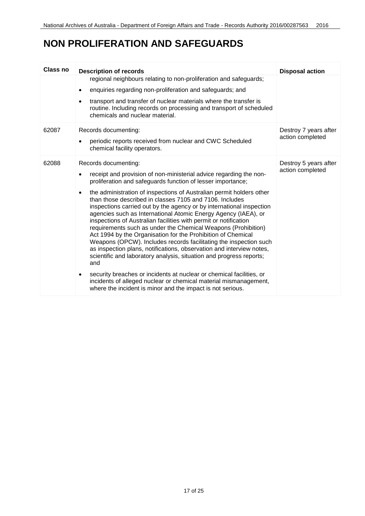#### **NON PROLIFERATION AND SAFEGUARDS**

| Class no | <b>Description of records</b>                                                                                                                                                                                                                                                                                                                                                                                                                                                                                                                                                                                                                                                                                          | <b>Disposal action</b>                    |
|----------|------------------------------------------------------------------------------------------------------------------------------------------------------------------------------------------------------------------------------------------------------------------------------------------------------------------------------------------------------------------------------------------------------------------------------------------------------------------------------------------------------------------------------------------------------------------------------------------------------------------------------------------------------------------------------------------------------------------------|-------------------------------------------|
|          | regional neighbours relating to non-proliferation and safeguards;                                                                                                                                                                                                                                                                                                                                                                                                                                                                                                                                                                                                                                                      |                                           |
|          | enquiries regarding non-proliferation and safeguards; and                                                                                                                                                                                                                                                                                                                                                                                                                                                                                                                                                                                                                                                              |                                           |
|          | transport and transfer of nuclear materials where the transfer is<br>$\bullet$<br>routine. Including records on processing and transport of scheduled<br>chemicals and nuclear material.                                                                                                                                                                                                                                                                                                                                                                                                                                                                                                                               |                                           |
| 62087    | Records documenting:<br>periodic reports received from nuclear and CWC Scheduled<br>chemical facility operators.                                                                                                                                                                                                                                                                                                                                                                                                                                                                                                                                                                                                       | Destroy 7 years after<br>action completed |
| 62088    | Records documenting:                                                                                                                                                                                                                                                                                                                                                                                                                                                                                                                                                                                                                                                                                                   | Destroy 5 years after<br>action completed |
|          | receipt and provision of non-ministerial advice regarding the non-<br>proliferation and safeguards function of lesser importance;                                                                                                                                                                                                                                                                                                                                                                                                                                                                                                                                                                                      |                                           |
|          | the administration of inspections of Australian permit holders other<br>$\bullet$<br>than those described in classes 7105 and 7106. Includes<br>inspections carried out by the agency or by international inspection<br>agencies such as International Atomic Energy Agency (IAEA), or<br>inspections of Australian facilities with permit or notification<br>requirements such as under the Chemical Weapons (Prohibition)<br>Act 1994 by the Organisation for the Prohibition of Chemical<br>Weapons (OPCW). Includes records facilitating the inspection such<br>as inspection plans, notifications, observation and interview notes,<br>scientific and laboratory analysis, situation and progress reports;<br>and |                                           |
|          | security breaches or incidents at nuclear or chemical facilities, or<br>incidents of alleged nuclear or chemical material mismanagement,<br>where the incident is minor and the impact is not serious.                                                                                                                                                                                                                                                                                                                                                                                                                                                                                                                 |                                           |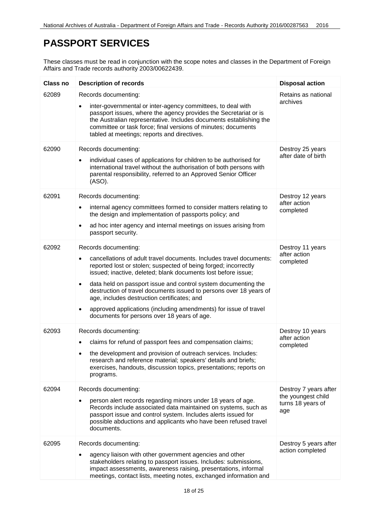#### <span id="page-17-0"></span>**PASSPORT SERVICES**

| <b>Class no</b> | <b>Description of records</b>                                                                                                                                                                                                                                                                                                                                                                                                                                                                                                                                       | <b>Disposal action</b>                                                  |
|-----------------|---------------------------------------------------------------------------------------------------------------------------------------------------------------------------------------------------------------------------------------------------------------------------------------------------------------------------------------------------------------------------------------------------------------------------------------------------------------------------------------------------------------------------------------------------------------------|-------------------------------------------------------------------------|
| 62089           | Records documenting:<br>inter-governmental or inter-agency committees, to deal with<br>passport issues, where the agency provides the Secretariat or is<br>the Australian representative. Includes documents establishing the<br>committee or task force; final versions of minutes; documents<br>tabled at meetings; reports and directives.                                                                                                                                                                                                                       | Retains as national<br>archives                                         |
| 62090           | Records documenting:<br>individual cases of applications for children to be authorised for<br>international travel without the authorisation of both persons with<br>parental responsibility, referred to an Approved Senior Officer<br>(ASO).                                                                                                                                                                                                                                                                                                                      | Destroy 25 years<br>after date of birth                                 |
| 62091           | Records documenting:<br>internal agency committees formed to consider matters relating to<br>$\bullet$<br>the design and implementation of passports policy; and<br>ad hoc inter agency and internal meetings on issues arising from<br>$\bullet$<br>passport security.                                                                                                                                                                                                                                                                                             | Destroy 12 years<br>after action<br>completed                           |
| 62092           | Records documenting:<br>cancellations of adult travel documents. Includes travel documents:<br>$\bullet$<br>reported lost or stolen; suspected of being forged; incorrectly<br>issued; inactive, deleted; blank documents lost before issue;<br>data held on passport issue and control system documenting the<br>$\bullet$<br>destruction of travel documents issued to persons over 18 years of<br>age, includes destruction certificates; and<br>approved applications (including amendments) for issue of travel<br>documents for persons over 18 years of age. | Destroy 11 years<br>after action<br>completed                           |
| 62093           | Records documenting:<br>claims for refund of passport fees and compensation claims;<br>the development and provision of outreach services. Includes:<br>research and reference material; speakers' details and briefs;<br>exercises, handouts, discussion topics, presentations; reports on<br>programs.                                                                                                                                                                                                                                                            | Destroy 10 years<br>after action<br>completed                           |
| 62094           | Records documenting:<br>person alert records regarding minors under 18 years of age.<br>Records include associated data maintained on systems, such as<br>passport issue and control system. Includes alerts issued for<br>possible abductions and applicants who have been refused travel<br>documents.                                                                                                                                                                                                                                                            | Destroy 7 years after<br>the youngest child<br>turns 18 years of<br>age |
| 62095           | Records documenting:<br>agency liaison with other government agencies and other<br>stakeholders relating to passport issues. Includes: submissions,<br>impact assessments, awareness raising, presentations, informal<br>meetings, contact lists, meeting notes, exchanged information and                                                                                                                                                                                                                                                                          | Destroy 5 years after<br>action completed                               |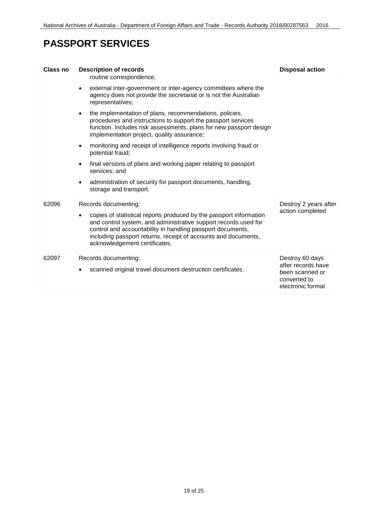### **PASSPORT SERVICES**

| <b>Class no</b> | <b>Description of records</b>                                                                                                                                                                                                                                                                                                  | <b>Disposal action</b>                                                                        |
|-----------------|--------------------------------------------------------------------------------------------------------------------------------------------------------------------------------------------------------------------------------------------------------------------------------------------------------------------------------|-----------------------------------------------------------------------------------------------|
|                 | routine correspondence;                                                                                                                                                                                                                                                                                                        |                                                                                               |
|                 | external inter-government or inter-agency committees where the<br>agency does not provide the secretariat or is not the Australian<br>representatives;                                                                                                                                                                         |                                                                                               |
|                 | the implementation of plans, recommendations, policies,<br>$\bullet$<br>procedures and instructions to support the passport services<br>function. Includes risk assessments, plans for new passport design<br>implementation project, quality assurance;                                                                       |                                                                                               |
|                 | monitoring and receipt of intelligence reports involving fraud or<br>$\bullet$<br>potential fraud;                                                                                                                                                                                                                             |                                                                                               |
|                 | final versions of plans and working paper relating to passport<br>$\bullet$<br>services; and                                                                                                                                                                                                                                   |                                                                                               |
|                 | administration of security for passport documents, handling,<br>$\bullet$<br>storage and transport.                                                                                                                                                                                                                            |                                                                                               |
| 62096           | Records documenting:<br>copies of statistical reports produced by the passport information<br>and control system, and administrative support records used for<br>control and accountability in handling passport documents,<br>including passport returns, receipt of accounts and documents,<br>acknowledgement certificates. | Destroy 2 years after<br>action completed                                                     |
| 62097           | Records documenting:<br>scanned original travel document destruction certificates.                                                                                                                                                                                                                                             | Destroy 60 days<br>after records have<br>been scanned or<br>converted to<br>electronic format |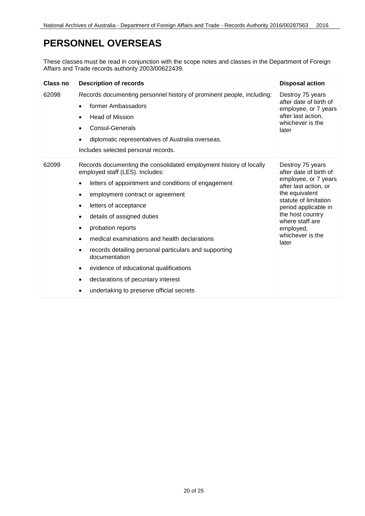#### <span id="page-19-0"></span>**PERSONNEL OVERSEAS**

| Class no | <b>Description of records</b>                                                                                                                                                                                                                                                                                                                                                                                                                                                                                                                                             | <b>Disposal action</b>                                                                                                                                                                                                                          |
|----------|---------------------------------------------------------------------------------------------------------------------------------------------------------------------------------------------------------------------------------------------------------------------------------------------------------------------------------------------------------------------------------------------------------------------------------------------------------------------------------------------------------------------------------------------------------------------------|-------------------------------------------------------------------------------------------------------------------------------------------------------------------------------------------------------------------------------------------------|
| 62098    | Records documenting personnel history of prominent people, including:<br>former Ambassadors<br><b>Head of Mission</b><br>$\bullet$<br><b>Consul-Generals</b><br>diplomatic representatives of Australia overseas.<br>Includes selected personal records.                                                                                                                                                                                                                                                                                                                  | Destroy 75 years<br>after date of birth of<br>employee, or 7 years<br>after last action,<br>whichever is the<br>later                                                                                                                           |
| 62099    | Records documenting the consolidated employment history of locally<br>employed staff (LES). Includes:<br>letters of appointment and conditions of engagement<br>employment contract or agreement<br>letters of acceptance<br>$\bullet$<br>details of assigned duties<br>probation reports<br>$\bullet$<br>medical examinations and health declarations<br>records detailing personal particulars and supporting<br>documentation<br>evidence of educational qualifications<br>declarations of pecuniary interest<br>$\bullet$<br>undertaking to preserve official secrets | Destroy 75 years<br>after date of birth of<br>employee, or 7 years<br>after last action, or<br>the equivalent<br>statute of limitation<br>period applicable in<br>the host country<br>where staff are<br>employed,<br>whichever is the<br>later |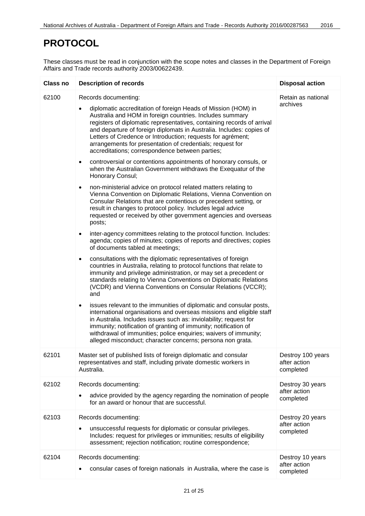#### <span id="page-20-0"></span>**PROTOCOL**

| <b>Class no</b> | <b>Description of records</b>                                                                                                                                                                                                                                                                                                                                                                                                                                                                                                                                                                                                                                                                                                                                                                                                                                                                                                                                                                                                                                                                                                                                                                                                                                                                                                                                                                                                                                                                                                                                                                                                                                                                                                                                                                                                                                                                                                                                                                                            | <b>Disposal action</b>                         |
|-----------------|--------------------------------------------------------------------------------------------------------------------------------------------------------------------------------------------------------------------------------------------------------------------------------------------------------------------------------------------------------------------------------------------------------------------------------------------------------------------------------------------------------------------------------------------------------------------------------------------------------------------------------------------------------------------------------------------------------------------------------------------------------------------------------------------------------------------------------------------------------------------------------------------------------------------------------------------------------------------------------------------------------------------------------------------------------------------------------------------------------------------------------------------------------------------------------------------------------------------------------------------------------------------------------------------------------------------------------------------------------------------------------------------------------------------------------------------------------------------------------------------------------------------------------------------------------------------------------------------------------------------------------------------------------------------------------------------------------------------------------------------------------------------------------------------------------------------------------------------------------------------------------------------------------------------------------------------------------------------------------------------------------------------------|------------------------------------------------|
| 62100           | Records documenting:<br>diplomatic accreditation of foreign Heads of Mission (HOM) in<br>Australia and HOM in foreign countries. Includes summary<br>registers of diplomatic representatives, containing records of arrival<br>and departure of foreign diplomats in Australia. Includes: copies of<br>Letters of Credence or Introduction; requests for agrément;<br>arrangements for presentation of credentials; request for<br>accreditations; correspondence between parties;<br>controversial or contentions appointments of honorary consuls, or<br>$\bullet$<br>when the Australian Government withdraws the Exequatur of the<br>Honorary Consul;<br>non-ministerial advice on protocol related matters relating to<br>$\bullet$<br>Vienna Convention on Diplomatic Relations, Vienna Convention on<br>Consular Relations that are contentious or precedent setting, or<br>result in changes to protocol policy. Includes legal advice<br>requested or received by other government agencies and overseas<br>posts;<br>inter-agency committees relating to the protocol function. Includes:<br>agenda; copies of minutes; copies of reports and directives; copies<br>of documents tabled at meetings;<br>consultations with the diplomatic representatives of foreign<br>$\bullet$<br>countries in Australia, relating to protocol functions that relate to<br>immunity and privilege administration, or may set a precedent or<br>standards relating to Vienna Conventions on Diplomatic Relations<br>(VCDR) and Vienna Conventions on Consular Relations (VCCR);<br>and<br>issues relevant to the immunities of diplomatic and consular posts,<br>$\bullet$<br>international organisations and overseas missions and eligible staff<br>in Australia. Includes issues such as: inviolability; request for<br>immunity; notification of granting of immunity; notification of<br>withdrawal of immunities; police enquiries; waivers of immunity;<br>alleged misconduct; character concerns; persona non grata. | Retain as national<br>archives                 |
| 62101           | Master set of published lists of foreign diplomatic and consular<br>representatives and staff, including private domestic workers in<br>Australia.                                                                                                                                                                                                                                                                                                                                                                                                                                                                                                                                                                                                                                                                                                                                                                                                                                                                                                                                                                                                                                                                                                                                                                                                                                                                                                                                                                                                                                                                                                                                                                                                                                                                                                                                                                                                                                                                       | Destroy 100 years<br>after action<br>completed |
| 62102           | Records documenting:<br>advice provided by the agency regarding the nomination of people<br>for an award or honour that are successful.                                                                                                                                                                                                                                                                                                                                                                                                                                                                                                                                                                                                                                                                                                                                                                                                                                                                                                                                                                                                                                                                                                                                                                                                                                                                                                                                                                                                                                                                                                                                                                                                                                                                                                                                                                                                                                                                                  | Destroy 30 years<br>after action<br>completed  |
| 62103           | Records documenting:<br>unsuccessful requests for diplomatic or consular privileges.<br>Includes: request for privileges or immunities; results of eligibility<br>assessment; rejection notification; routine correspondence;                                                                                                                                                                                                                                                                                                                                                                                                                                                                                                                                                                                                                                                                                                                                                                                                                                                                                                                                                                                                                                                                                                                                                                                                                                                                                                                                                                                                                                                                                                                                                                                                                                                                                                                                                                                            | Destroy 20 years<br>after action<br>completed  |
| 62104           | Records documenting:<br>consular cases of foreign nationals in Australia, where the case is                                                                                                                                                                                                                                                                                                                                                                                                                                                                                                                                                                                                                                                                                                                                                                                                                                                                                                                                                                                                                                                                                                                                                                                                                                                                                                                                                                                                                                                                                                                                                                                                                                                                                                                                                                                                                                                                                                                              | Destroy 10 years<br>after action<br>completed  |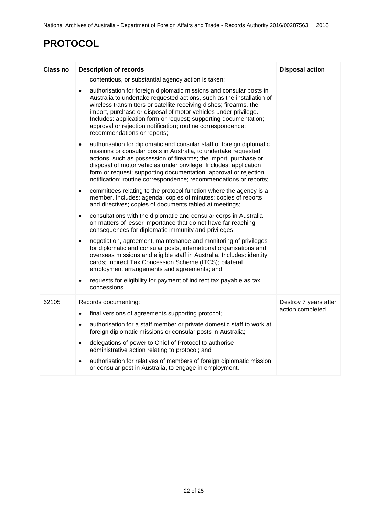### **PROTOCOL**

| <b>Class no</b> | <b>Description of records</b>                                                                                                                                                                                                                                                                                                                                                                                                                                        | <b>Disposal action</b> |
|-----------------|----------------------------------------------------------------------------------------------------------------------------------------------------------------------------------------------------------------------------------------------------------------------------------------------------------------------------------------------------------------------------------------------------------------------------------------------------------------------|------------------------|
|                 | contentious, or substantial agency action is taken;                                                                                                                                                                                                                                                                                                                                                                                                                  |                        |
|                 | authorisation for foreign diplomatic missions and consular posts in<br>$\bullet$<br>Australia to undertake requested actions, such as the installation of<br>wireless transmitters or satellite receiving dishes; firearms, the<br>import, purchase or disposal of motor vehicles under privilege.<br>Includes: application form or request; supporting documentation;<br>approval or rejection notification; routine correspondence;<br>recommendations or reports; |                        |
|                 | authorisation for diplomatic and consular staff of foreign diplomatic<br>$\bullet$<br>missions or consular posts in Australia, to undertake requested<br>actions, such as possession of firearms; the import, purchase or<br>disposal of motor vehicles under privilege. Includes: application<br>form or request; supporting documentation; approval or rejection<br>notification; routine correspondence; recommendations or reports;                              |                        |
|                 | committees relating to the protocol function where the agency is a<br>$\bullet$<br>member. Includes: agenda; copies of minutes; copies of reports<br>and directives; copies of documents tabled at meetings;                                                                                                                                                                                                                                                         |                        |
|                 | consultations with the diplomatic and consular corps in Australia,<br>$\bullet$<br>on matters of lesser importance that do not have far reaching<br>consequences for diplomatic immunity and privileges;                                                                                                                                                                                                                                                             |                        |
|                 | negotiation, agreement, maintenance and monitoring of privileges<br>$\bullet$<br>for diplomatic and consular posts, international organisations and<br>overseas missions and eligible staff in Australia. Includes: identity<br>cards; Indirect Tax Concession Scheme (ITCS); bilateral<br>employment arrangements and agreements; and                                                                                                                               |                        |
|                 | requests for eligibility for payment of indirect tax payable as tax<br>$\bullet$<br>concessions.                                                                                                                                                                                                                                                                                                                                                                     |                        |
| 62105           | Records documenting:                                                                                                                                                                                                                                                                                                                                                                                                                                                 | Destroy 7 years after  |
|                 | final versions of agreements supporting protocol;<br>$\bullet$                                                                                                                                                                                                                                                                                                                                                                                                       | action completed       |
|                 | authorisation for a staff member or private domestic staff to work at<br>$\bullet$<br>foreign diplomatic missions or consular posts in Australia;                                                                                                                                                                                                                                                                                                                    |                        |
|                 | delegations of power to Chief of Protocol to authorise<br>$\bullet$<br>administrative action relating to protocol; and                                                                                                                                                                                                                                                                                                                                               |                        |
|                 | authorisation for relatives of members of foreign diplomatic mission<br>٠<br>or consular post in Australia, to engage in employment.                                                                                                                                                                                                                                                                                                                                 |                        |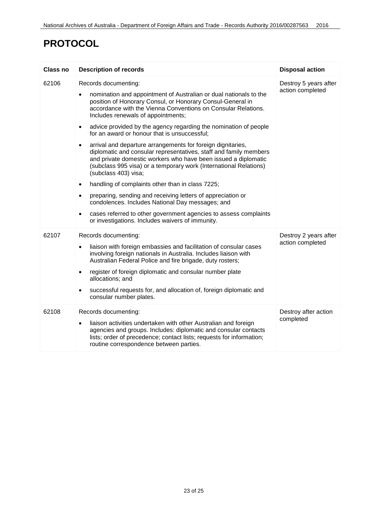### **PROTOCOL**

| Class no | <b>Description of records</b>                                                                                                                                                                                                                                                                                                                                                                                                                                                                                                                                                                                                                                                                                                                                                                                                                                                                                                                                                                                                                 | <b>Disposal action</b>                    |
|----------|-----------------------------------------------------------------------------------------------------------------------------------------------------------------------------------------------------------------------------------------------------------------------------------------------------------------------------------------------------------------------------------------------------------------------------------------------------------------------------------------------------------------------------------------------------------------------------------------------------------------------------------------------------------------------------------------------------------------------------------------------------------------------------------------------------------------------------------------------------------------------------------------------------------------------------------------------------------------------------------------------------------------------------------------------|-------------------------------------------|
| 62106    | Records documenting:<br>nomination and appointment of Australian or dual nationals to the<br>position of Honorary Consul, or Honorary Consul-General in<br>accordance with the Vienna Conventions on Consular Relations.<br>Includes renewals of appointments;<br>advice provided by the agency regarding the nomination of people<br>$\bullet$<br>for an award or honour that is unsuccessful;<br>arrival and departure arrangements for foreign dignitaries,<br>$\bullet$<br>diplomatic and consular representatives, staff and family members<br>and private domestic workers who have been issued a diplomatic<br>(subclass 995 visa) or a temporary work (International Relations)<br>(subclass 403) visa;<br>handling of complaints other than in class 7225;<br>$\bullet$<br>preparing, sending and receiving letters of appreciation or<br>$\bullet$<br>condolences. Includes National Day messages; and<br>cases referred to other government agencies to assess complaints<br>٠<br>or investigations. Includes waivers of immunity. | Destroy 5 years after<br>action completed |
| 62107    | Records documenting:<br>liaison with foreign embassies and facilitation of consular cases<br>$\bullet$<br>involving foreign nationals in Australia. Includes liaison with<br>Australian Federal Police and fire brigade, duty rosters;<br>register of foreign diplomatic and consular number plate<br>$\bullet$<br>allocations; and<br>successful requests for, and allocation of, foreign diplomatic and<br>٠<br>consular number plates.                                                                                                                                                                                                                                                                                                                                                                                                                                                                                                                                                                                                     | Destroy 2 years after<br>action completed |
| 62108    | Records documenting:<br>liaison activities undertaken with other Australian and foreign<br>agencies and groups. Includes: diplomatic and consular contacts<br>lists; order of precedence; contact lists; requests for information;<br>routine correspondence between parties.                                                                                                                                                                                                                                                                                                                                                                                                                                                                                                                                                                                                                                                                                                                                                                 | Destroy after action<br>completed         |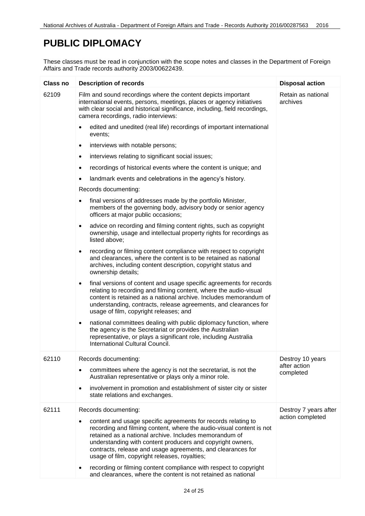#### <span id="page-23-0"></span>**PUBLIC DIPLOMACY**

| Class no | <b>Description of records</b>                                                                                                                                                                                                                                                                                                                                                 | <b>Disposal action</b>         |
|----------|-------------------------------------------------------------------------------------------------------------------------------------------------------------------------------------------------------------------------------------------------------------------------------------------------------------------------------------------------------------------------------|--------------------------------|
| 62109    | Film and sound recordings where the content depicts important<br>international events, persons, meetings, places or agency initiatives<br>with clear social and historical significance, including, field recordings,<br>camera recordings, radio interviews:                                                                                                                 | Retain as national<br>archives |
|          | edited and unedited (real life) recordings of important international<br>events:                                                                                                                                                                                                                                                                                              |                                |
|          | interviews with notable persons;<br>$\bullet$                                                                                                                                                                                                                                                                                                                                 |                                |
|          | interviews relating to significant social issues;<br>$\bullet$                                                                                                                                                                                                                                                                                                                |                                |
|          | recordings of historical events where the content is unique; and                                                                                                                                                                                                                                                                                                              |                                |
|          | landmark events and celebrations in the agency's history.                                                                                                                                                                                                                                                                                                                     |                                |
|          | Records documenting:                                                                                                                                                                                                                                                                                                                                                          |                                |
|          | final versions of addresses made by the portfolio Minister,<br>members of the governing body, advisory body or senior agency<br>officers at major public occasions;                                                                                                                                                                                                           |                                |
|          | advice on recording and filming content rights, such as copyright<br>$\bullet$<br>ownership, usage and intellectual property rights for recordings as<br>listed above;                                                                                                                                                                                                        |                                |
|          | recording or filming content compliance with respect to copyright<br>$\bullet$<br>and clearances, where the content is to be retained as national<br>archives, including content description, copyright status and<br>ownership details;                                                                                                                                      |                                |
|          | final versions of content and usage specific agreements for records<br>$\bullet$<br>relating to recording and filming content, where the audio-visual<br>content is retained as a national archive. Includes memorandum of<br>understanding, contracts, release agreements, and clearances for<br>usage of film, copyright releases; and                                      |                                |
|          | national committees dealing with public diplomacy function, where<br>$\bullet$<br>the agency is the Secretariat or provides the Australian<br>representative, or plays a significant role, including Australia<br>International Cultural Council.                                                                                                                             |                                |
| 62110    | Records documenting:                                                                                                                                                                                                                                                                                                                                                          | Destroy 10 years               |
|          | committees where the agency is not the secretariat, is not the<br>$\bullet$<br>Australian representative or plays only a minor role.                                                                                                                                                                                                                                          | after action<br>completed      |
|          | involvement in promotion and establishment of sister city or sister<br>state relations and exchanges.                                                                                                                                                                                                                                                                         |                                |
| 62111    | Records documenting:                                                                                                                                                                                                                                                                                                                                                          | Destroy 7 years after          |
|          | content and usage specific agreements for records relating to<br>recording and filming content, where the audio-visual content is not<br>retained as a national archive. Includes memorandum of<br>understanding with content producers and copyright owners,<br>contracts, release and usage agreements, and clearances for<br>usage of film, copyright releases, royalties; | action completed               |
|          | recording or filming content compliance with respect to copyright<br>and clearances, where the content is not retained as national                                                                                                                                                                                                                                            |                                |